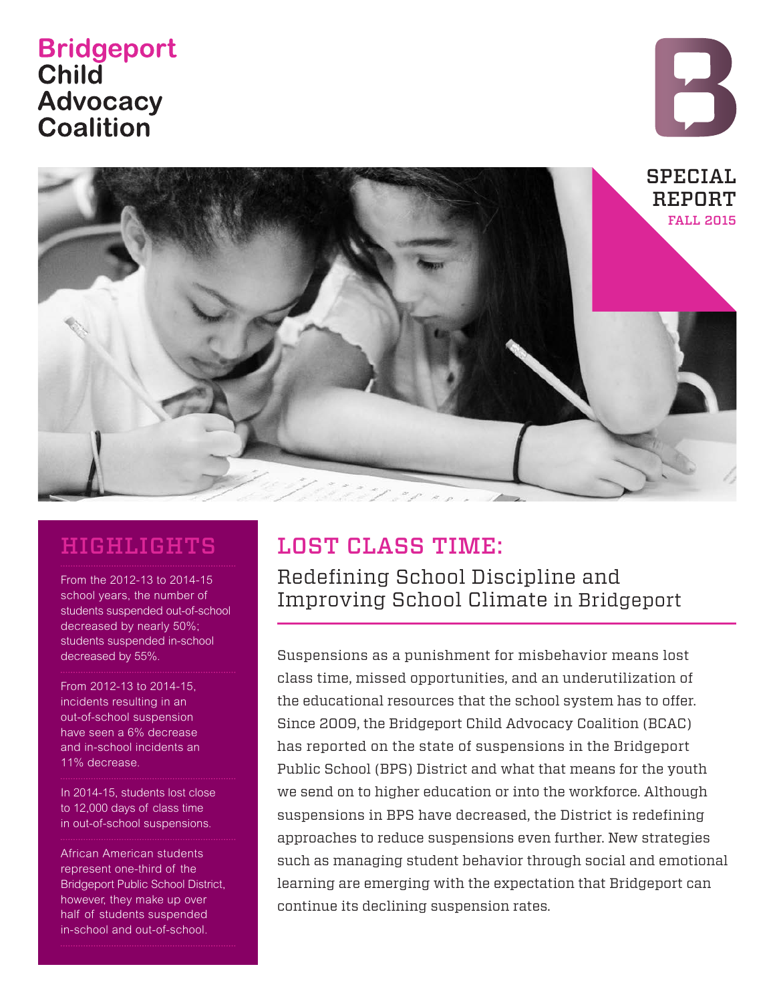# **Bridgeport Child Advocacy Coalition**





# HIGHLIGHTS

From the 2012-13 to 2014-15 school years, the number of students suspended out-of-school decreased by nearly 50%; students suspended in-school decreased by 55%.

From 2012-13 to 2014-15, incidents resulting in an

out-of-school suspension have seen a 6% decrease and in-school incidents an 11% decrease.

In 2014-15, students lost close to 12,000 days of class time in out-of-school suspensions.

African American students represent one-third of the Bridgeport Public School District, however, they make up over half of students suspended in-school and out-of-school.

# LOST CLASS TIME:

Redefining School Discipline and Improving School Climate in Bridgeport

Suspensions as a punishment for misbehavior means lost class time, missed opportunities, and an underutilization of the educational resources that the school system has to offer. Since 2009, the Bridgeport Child Advocacy Coalition (BCAC) has reported on the state of suspensions in the Bridgeport Public School (BPS) District and what that means for the youth we send on to higher education or into the workforce. Although suspensions in BPS have decreased, the District is redefining approaches to reduce suspensions even further. New strategies such as managing student behavior through social and emotional learning are emerging with the expectation that Bridgeport can continue its declining suspension rates.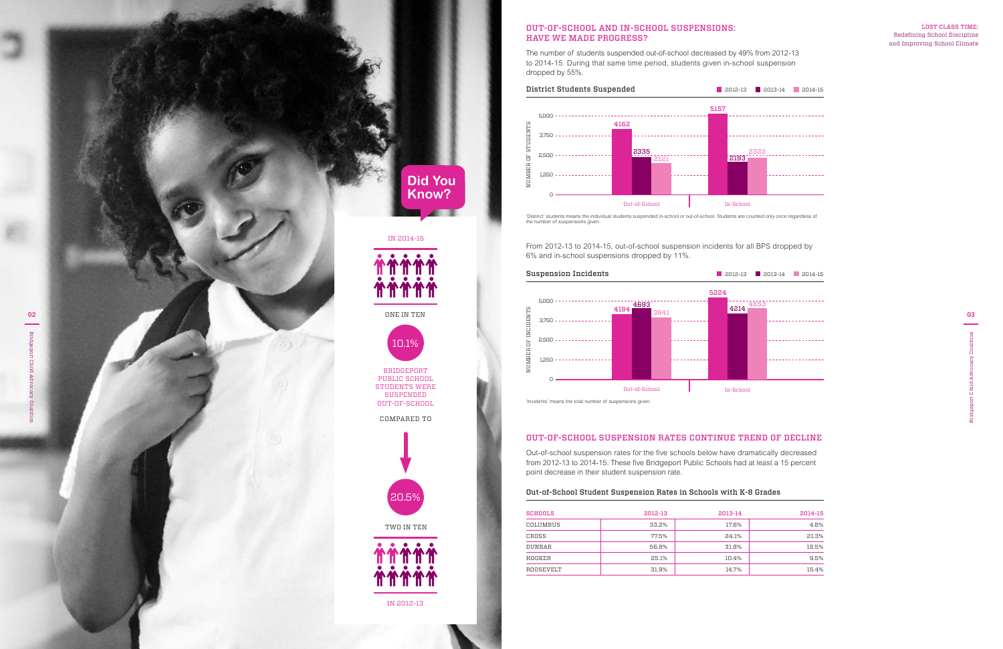### LOST CLASS TIME: Redefining School Discipline and Improving School Climate

# OUT-OF-SCHOOL SUSPENSION RATES CONTINUE TREND OF DECLINE

Out-of-school suspension rates for the five schools below have dramatically decreased from 2012-13 to 2014-15. These five Bridgeport Public Schools had at least a 15 percent point decrease in their student suspension rate.

# Out-of-School Student Suspension Rates in Schools with K-8 Grades

| SCHOOLS   | 2012-13 | 2013-14 | 2014-15 |
|-----------|---------|---------|---------|
| COLUMBUS  | 33.2%   | 17.6%   | 4.8%    |
| CROSS     | 77.5%   | 24.1%   | 21.3%   |
| DUNBAR    | 56.8%   | 31.8%   | 18.5%   |
| HOOKER    | 25.1%   | 10.4%   | 9.5%    |
| ROOSEVELT | 31.9%   | 14.7%   | 15.4%   |
|           |         |         |         |

**03**

From 2012-13 to 2014-15, out-of-school suspension incidents for all BPS dropped by 6% and in-school suspensions dropped by 11%.



## OUT-OF-SCHOOL AND IN-SCHOOL SUSPENSIONS: HAVE WE MADE PROGRESS?

The number of students suspended out-of-school decreased by 49% from 2012-13 to 2014-15. During that same time period, students given in-school suspension dropped by 55%.





'Distinct' students means the individual students suspended in-school or out-of-school. Students are counted only once regardless of the number of suspensions given.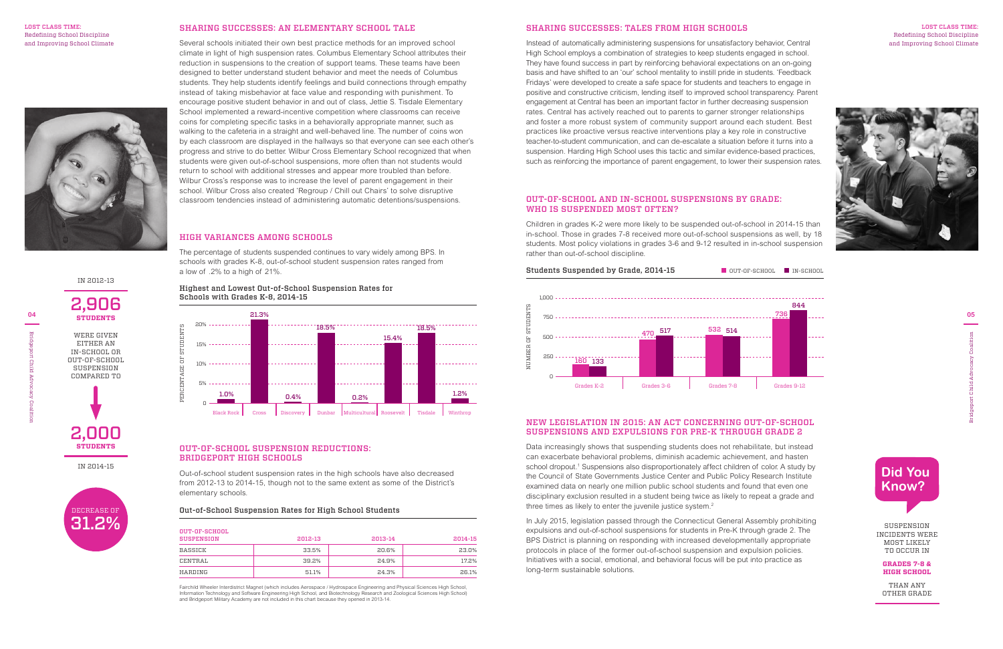**05**

Bridgeport Child Advocacy Coalition

### LOST CLASS TIME: Redefining School Discipline and Improving School Climate



## SHARING SUCCESSES: AN ELEMENTARY SCHOOL TALE

Several schools initiated their own best practice methods for an improved school climate in light of high suspension rates. Columbus Elementary School attributes their reduction in suspensions to the creation of support teams. These teams have been designed to better understand student behavior and meet the needs of Columbus students. They help students identify feelings and build connections through empathy instead of taking misbehavior at face value and responding with punishment. To encourage positive student behavior in and out of class, Jettie S. Tisdale Elementary School implemented a reward-incentive competition where classrooms can receive coins for completing specific tasks in a behaviorally appropriate manner, such as walking to the cafeteria in a straight and well-behaved line. The number of coins won by each classroom are displayed in the hallways so that everyone can see each other's progress and strive to do better. Wilbur Cross Elementary School recognized that when students were given out-of-school suspensions, more often than not students would return to school with additional stresses and appear more troubled than before. Wilbur Cross's response was to increase the level of parent engagement in their school. Wilbur Cross also created 'Regroup / Chill out Chairs' to solve disruptive classroom tendencies instead of administering automatic detentions/suspensions.

# SHARING SUCCESSES: TALES FROM HIGH SCHOOLS

Data increasingly shows that suspending students does not rehabilitate, but instead can exacerbate behavioral problems, diminish academic achievement, and hasten school dropout.<sup>1</sup> Suspensions also disproportionately affect children of color. A study by the Council of State Governments Justice Center and Public Policy Research Institute examined data on nearly one million public school students and found that even one disciplinary exclusion resulted in a student being twice as likely to repeat a grade and three times as likely to enter the juvenile justice system.<sup>2</sup>

Instead of automatically administering suspensions for unsatisfactory behavior, Central High School employs a combination of strategies to keep students engaged in school. They have found success in part by reinforcing behavioral expectations on an on-going basis and have shifted to an 'our' school mentality to instill pride in students. 'Feedback Fridays' were developed to create a safe space for students and teachers to engage in positive and constructive criticism, lending itself to improved school transparency. Parent engagement at Central has been an important factor in further decreasing suspension rates. Central has actively reached out to parents to garner stronger relationships and foster a more robust system of community support around each student. Best practices like proactive versus reactive interventions play a key role in constructive teacher-to-student communication, and can de-escalate a situation before it turns into a suspension. Harding High School uses this tactic and similar evidence-based practices, such as reinforcing the importance of parent engagement, to lower their suspension rates.

#### LOST CLASS TIME: Redefining School Discipline and Improving School Climate



## OUT-OF-SCHOOL SUSPENSION REDUCTIONS: BRIDGEPORT HIGH SCHOOLS

Out-of-school student suspension rates in the high schools have also decreased from 2012-13 to 2014-15, though not to the same extent as some of the District's elementary schools.

#### Out-of-School Suspension Rates for High School Students

| OUT-OF-SCHOOL<br><b>SUSPENSION</b> | 2012-13 | 2013-14 | 2014-15 |
|------------------------------------|---------|---------|---------|
| BASSICK                            | 33.5%   | 20.6%   | 23.0%   |
| CENTRAL                            | 39.2%   | 24.9%   | 17.2%   |
| HARDING                            | 51.1%   | 24.3%   | 26.1%   |

Fairchild Wheeler Interdistrict Magnet (which includes Aerospace / Hydrospace Engineering and Physical Sciences High School,<br>Information Technology and Software Engineering High School, and Biotechnology Research and Zoolo

# NEW LEGISLATION IN 2015: AN ACT CONCERNING OUT-OF-SCHOOL SUSPENSIONS AND EXPULSIONS FOR PRE-K THROUGH GRADE 2

In July 2015, legislation passed through the Connecticut General Assembly prohibiting expulsions and out-of-school suspensions for students in Pre-K through grade 2. The BPS District is planning on responding with increased developmentally appropriate protocols in place of the former out-of-school suspension and expulsion policies. Initiatives with a social, emotional, and behavioral focus will be put into practice as long-term sustainable solutions.

# OUT-OF-SCHOOL AND IN-SCHOOL SUSPENSIONS BY GRADE: WHO IS SUSPENDED MOST OFTEN?

Children in grades K-2 were more likely to be suspended out-of-school in 2014-15 than in-school. Those in grades 7-8 received more out-of-school suspensions as well, by 18 students. Most policy violations in grades 3-6 and 9-12 resulted in in-school suspension rather than out-of-school discipline.



# HIGH VARIANCES AMONG SCHOOLS

The percentage of students suspended continues to vary widely among BPS. In schools with grades K-8, out-of-school student suspension rates ranged from a low of .2% to a high of 21%.

Highest and Lowest Out-of-School Suspension Rates for Schools with Grades K-8, 2014-15



SUSPENSION INCIDENTS WERE MOST LIKELY TO OCCUR IN

### **GRADES 7-8 & HIGH SCHOOL**

THAN ANY OTHER GRADE



IN 2012-13

# 2,906 **STUDENTS**

IN 2014-15

2,000 **STUDENTS**

WERE GIVEN EITHER AN IN-SCHOOL OR OUT-OF-SCHOOL SUSPENSION COMPARED TO

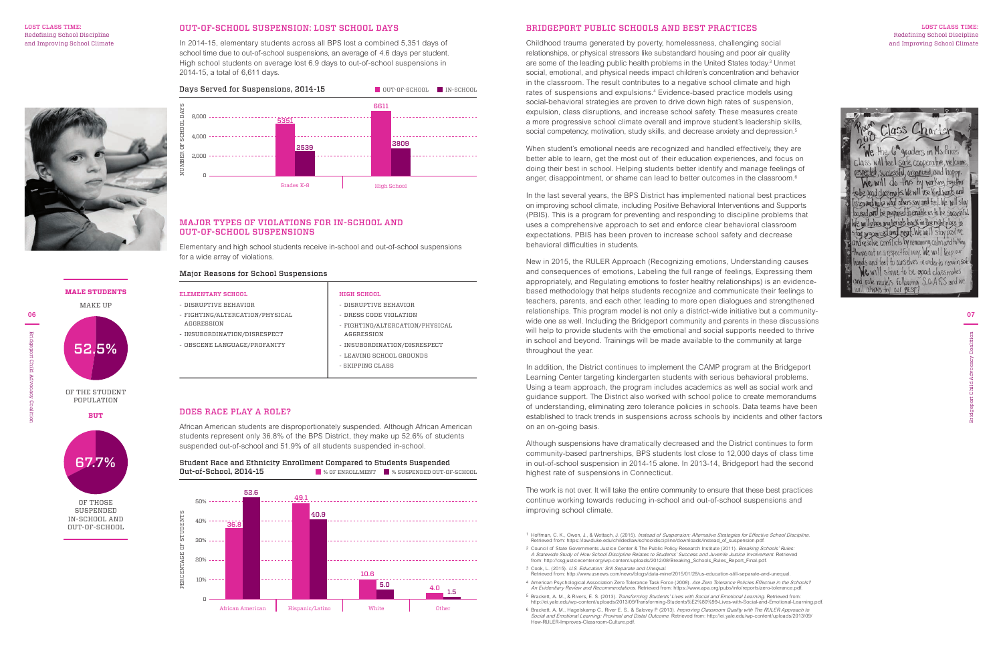#### LOST CLASS TIME: Redefining School Discipline and Improving School Climate



Childhood trauma generated by poverty, homelessness, challenging social relationships, or physical stressors like substandard housing and poor air quality are some of the leading public health problems in the United States today.<sup>3</sup> Unmet social, emotional, and physical needs impact children's concentration and behavior in the classroom. The result contributes to a negative school climate and high rates of suspensions and expulsions.4 Evidence-based practice models using social-behavioral strategies are proven to drive down high rates of suspension, expulsion, class disruptions, and increase school safety. These measures create a more progressive school climate overall and improve student's leadership skills, social competency, motivation, study skills, and decrease anxiety and depression.<sup>5</sup>

#### LOST CLASS TIME: Redefining School Discipline and Improving School Climate



## BRIDGEPORT PUBLIC SCHOOLS AND BEST PRACTICES

When student's emotional needs are recognized and handled effectively, they are better able to learn, get the most out of their education experiences, and focus on doing their best in school. Helping students better identify and manage feelings of anger, disappointment, or shame can lead to better outcomes in the classroom.<sup>6</sup>

In the last several years, the BPS District has implemented national best practices on improving school climate, including Positive Behavioral Interventions and Supports (PBIS). This is a program for preventing and responding to discipline problems that uses a comprehensive approach to set and enforce clear behavioral classroom expectations. PBIS has been proven to increase school safety and decrease behavioral difficulties in students.

New in 2015, the RULER Approach (Recognizing emotions, Understanding causes and consequences of emotions, Labeling the full range of feelings, Expressing them appropriately, and Regulating emotions to foster healthy relationships) is an evidencebased methodology that helps students recognize and communicate their feelings to teachers, parents, and each other, leading to more open dialogues and strengthened relationships. This program model is not only a district-wide initiative but a communitywide one as well. Including the Bridgeport community and parents in these discussions will help to provide students with the emotional and social supports needed to thrive in school and beyond. Trainings will be made available to the community at large throughout the year.

In addition, the District continues to implement the CAMP program at the Bridgeport Learning Center targeting kindergarten students with serious behavioral problems. Using a team approach, the program includes academics as well as social work and guidance support. The District also worked with school police to create memorandums of understanding, eliminating zero tolerance policies in schools. Data teams have been established to track trends in suspensions across schools by incidents and other factors on an on-going basis.

Although suspensions have dramatically decreased and the District continues to form community-based partnerships, BPS students lost close to 12,000 days of class time in out-of-school suspension in 2014-15 alone. In 2013-14, Bridgeport had the second highest rate of suspensions in Connecticut.

The work is not over. It will take the entire community to ensure that these best practices continue working towards reducing in-school and out-of-school suspensions and improving school climate.

1 Hoffman, C. K., Owen, J., & Wettach, J. (2015). *Instead of Suspension: Alternative Strategies for Effective School Discipline.*<br>Retrieved from: https://law.duke.edu/childedlaw/schooldiscipline/downloads/instead\_of\_suspe

- <sup>2</sup> Council of State Governments Justice Center & The Public Policy Research Institute (2011). Breaking Schools' Rules: A Statewide Study of How School Discipline Relates to Students' Success and Juvenile Justice Involvement. Retrieved from: http://csgjusticecenter.org/wp-content/uploads/2012/08/Breaking\_Schools\_Rules\_Report\_Final.pdf. 3 Cook, L. (2015). U.S. Education: Still Separate and Unequal.
- Retrieved from: http://www.usnews.com/news/blogs/data-mine/2015/01/28/us-education-still-separate-and-unequal.
- 4 American Psychological Association Zero Tolerance Task Force (2008). Are Zero Tolerance Policies Effective in the Schools? An Evidentiary Review and Recommendations. Retrieved from: https://www.apa.org/pubs/info/reports/zero-tolerance.pdf.
- 5 Brackett, A. M., & Rivers, E. S. (2013). Transforming Students' Lives with Social and Emotional Learning. Retrieved from: http://ei.yale.edu/wp-content/uploads/2013/09/Transforming-Students%E2%80%99-Lives-with-Social-and-Emotional-Learning.pdf.
- 6 Brackett, A. M., Hagelskamp C., River E. S., & Salovey P. (2013). Improving Classroom Quality with The RULER Approach to Social and Emotional Learning: Proximal and Distal Outcome. Retrieved from: http://ei.yale.edu/wp-content/uploads/2013/09/ How-RULER-Improves-Classroom-Culture.pdf.

# DOES RACE PLAY A ROLE?

African American students are disproportionately suspended. Although African American students represent only 36.8% of the BPS District, they make up 52.6% of students suspended out-of-school and 51.9% of all students suspended in-school.

Student Race and Ethnicity Enrollment Compared to Students Suspended Out-of-School, 2014-15 % OF ENROLLMENT % SUSPENDED OUT-OF-SCHOOL



## Major Reasons for School Suspensions

# ELEMENTARY SCHOOL

- DISRUPTIVE BEHAVIOR

- FIGHTING/ALTERCATION/PHYSICAL

AGGRESSION

- INSUBORDINATION/DISRESPECT - OBSCENE LANGUAGE/PROFANITY HIGH SCHOOL

- DISRUPTIVE BEHAVIOR - DRESS CODE VIOLATION

- FIGHTING/ALTERCATION/PHYSICAL

AGGRESSION

- INSUBORDINATION/DISRESPECT - LEAVING SCHOOL GROUNDS

- SKIPPING CLASS

## MAJOR TYPES OF VIOLATIONS FOR IN-SCHOOL AND OUT-OF-SCHOOL SUSPENSIONS

Elementary and high school students receive in-school and out-of-school suspensions



## OUT-OF-SCHOOL SUSPENSION: LOST SCHOOL DAYS

In 2014-15, elementary students across all BPS lost a combined 5,351 days of school time due to out-of-school suspensions, an average of 4.6 days per student. High school students on average lost 6.9 days to out-of-school suspensions in 2014-15, a total of 6,611 days.

**MALE STUDENTS** MAKE UP



**BUT**